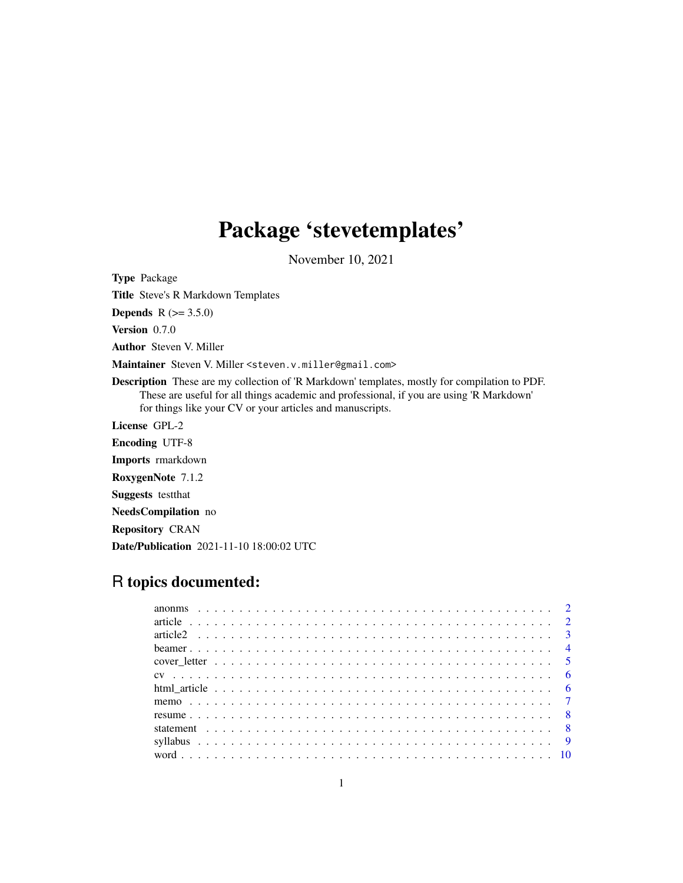# Package 'stevetemplates'

November 10, 2021

<span id="page-0-0"></span>Type Package Title Steve's R Markdown Templates **Depends** R  $(>= 3.5.0)$ Version 0.7.0 Author Steven V. Miller Maintainer Steven V. Miller <steven.v.miller@gmail.com> Description These are my collection of 'R Markdown' templates, mostly for compilation to PDF. These are useful for all things academic and professional, if you are using 'R Markdown' for things like your CV or your articles and manuscripts. License GPL-2 Encoding UTF-8 Imports rmarkdown RoxygenNote 7.1.2 Suggests testthat NeedsCompilation no Repository CRAN Date/Publication 2021-11-10 18:00:02 UTC

# R topics documented: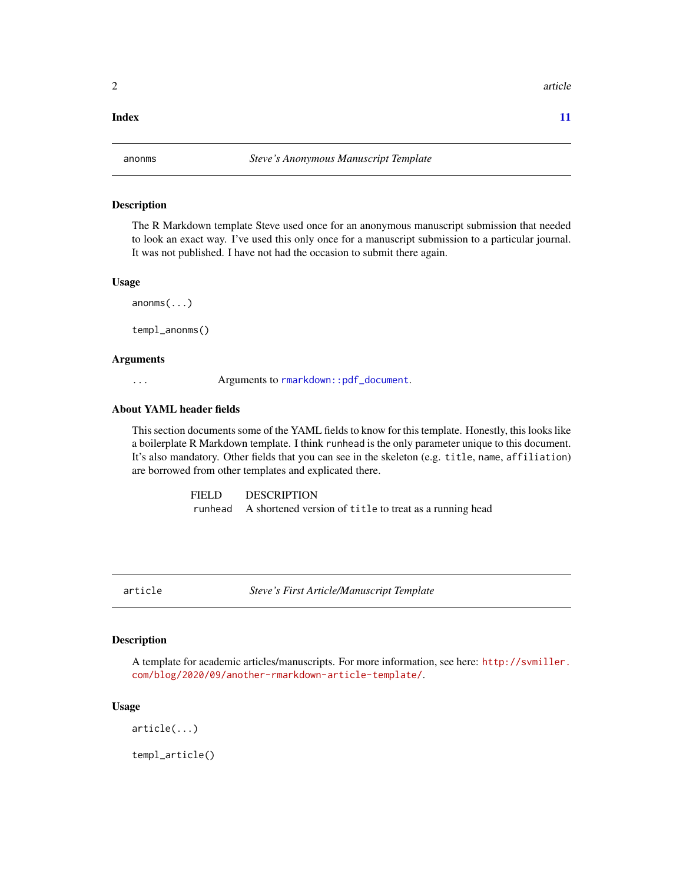#### <span id="page-1-0"></span>**Index** [11](#page-10-0)

#### Description

The R Markdown template Steve used once for an anonymous manuscript submission that needed to look an exact way. I've used this only once for a manuscript submission to a particular journal. It was not published. I have not had the occasion to submit there again.

#### Usage

anonms(...)

templ\_anonms()

# Arguments

... Arguments to [rmarkdown::pdf\\_document](#page-0-0).

# About YAML header fields

This section documents some of the YAML fields to know for this template. Honestly, this looks like a boilerplate R Markdown template. I think runhead is the only parameter unique to this document. It's also mandatory. Other fields that you can see in the skeleton (e.g. title, name, affiliation) are borrowed from other templates and explicated there.

> FIELD DESCRIPTION runhead A shortened version of title to treat as a running head

article *Steve's First Article/Manuscript Template*

### Description

A template for academic articles/manuscripts. For more information, see here: [http://svmiller.](http://svmiller.com/blog/2020/09/another-rmarkdown-article-template/) [com/blog/2020/09/another-rmarkdown-article-template/](http://svmiller.com/blog/2020/09/another-rmarkdown-article-template/).

#### Usage

```
article(...)
```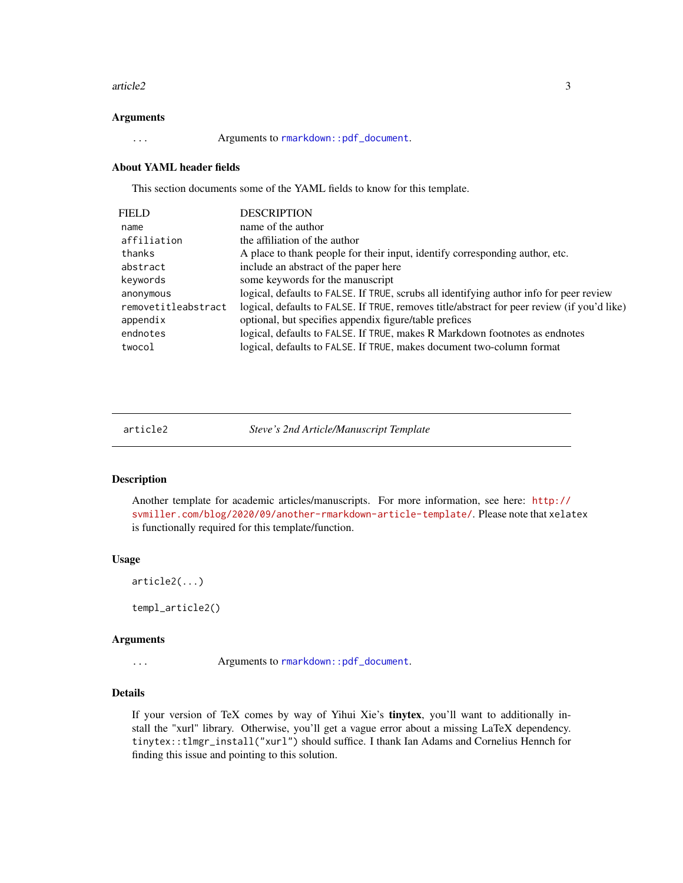#### <span id="page-2-0"></span>article2 3

#### Arguments

... Arguments to [rmarkdown::pdf\\_document](#page-0-0).

#### About YAML header fields

This section documents some of the YAML fields to know for this template.

| FIELD               | <b>DESCRIPTION</b>                                                                          |
|---------------------|---------------------------------------------------------------------------------------------|
| name                | name of the author                                                                          |
| affiliation         | the affiliation of the author                                                               |
| thanks              | A place to thank people for their input, identify corresponding author, etc.                |
| abstract            | include an abstract of the paper here                                                       |
| keywords            | some keywords for the manuscript                                                            |
| anonymous           | logical, defaults to FALSE. If TRUE, scrubs all identifying author info for peer review     |
| removetitleabstract | logical, defaults to FALSE. If TRUE, removes title/abstract for peer review (if you'd like) |
| appendix            | optional, but specifies appendix figure/table prefices                                      |
| endnotes            | logical, defaults to FALSE. If TRUE, makes R Markdown footnotes as endnotes                 |
| twocol              | logical, defaults to FALSE. If TRUE, makes document two-column format                       |
|                     |                                                                                             |

| article |  |  |
|---------|--|--|
|         |  |  |

Steve's 2nd Article/Manuscript Template

# Description

Another template for academic articles/manuscripts. For more information, see here: [http://](http://svmiller.com/blog/2020/09/another-rmarkdown-article-template/) [svmiller.com/blog/2020/09/another-rmarkdown-article-template/](http://svmiller.com/blog/2020/09/another-rmarkdown-article-template/). Please note that xelatex is functionally required for this template/function.

#### Usage

```
article2(...)
```
templ\_article2()

#### Arguments

... Arguments to [rmarkdown::pdf\\_document](#page-0-0).

# Details

If your version of TeX comes by way of Yihui Xie's tinytex, you'll want to additionally install the "xurl" library. Otherwise, you'll get a vague error about a missing LaTeX dependency. tinytex::tlmgr\_install("xurl") should suffice. I thank Ian Adams and Cornelius Hennch for finding this issue and pointing to this solution.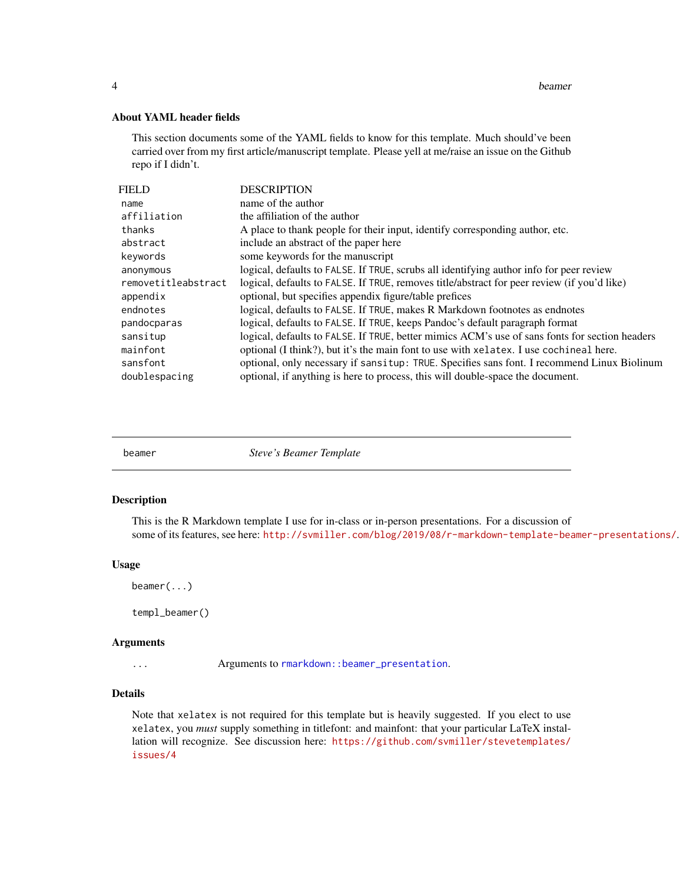<span id="page-3-0"></span>4 beamer

# About YAML header fields

This section documents some of the YAML fields to know for this template. Much should've been carried over from my first article/manuscript template. Please yell at me/raise an issue on the Github repo if I didn't.

| <b>FIELD</b>        | <b>DESCRIPTION</b>                                                                             |
|---------------------|------------------------------------------------------------------------------------------------|
| name                | name of the author                                                                             |
| affiliation         | the affiliation of the author                                                                  |
| thanks              | A place to thank people for their input, identify corresponding author, etc.                   |
| abstract            | include an abstract of the paper here                                                          |
| keywords            | some keywords for the manuscript                                                               |
| anonymous           | logical, defaults to FALSE. If TRUE, scrubs all identifying author info for peer review        |
| removetitleabstract | logical, defaults to FALSE. If TRUE, removes title/abstract for peer review (if you'd like)    |
| appendix            | optional, but specifies appendix figure/table prefices                                         |
| endnotes            | logical, defaults to FALSE. If TRUE, makes R Markdown footnotes as endnotes                    |
| pandocparas         | logical, defaults to FALSE. If TRUE, keeps Pandoc's default paragraph format                   |
| sansitup            | logical, defaults to FALSE. If TRUE, better mimics ACM's use of sans fonts for section headers |
| mainfont            | optional (I think?), but it's the main font to use with xelatex. I use cochineal here.         |
| sansfont            | optional, only necessary if sansitup: TRUE. Specifies sans font. I recommend Linux Biolinum    |
| doublespacing       | optional, if anything is here to process, this will double-space the document.                 |

beamer *Steve's Beamer Template*

#### Description

This is the R Markdown template I use for in-class or in-person presentations. For a discussion of some of its features, see here: <http://svmiller.com/blog/2019/08/r-markdown-template-beamer-presentations/>.

#### Usage

beamer(...)

templ\_beamer()

#### Arguments

... Arguments to [rmarkdown::beamer\\_presentation](#page-0-0).

### Details

Note that xelatex is not required for this template but is heavily suggested. If you elect to use xelatex, you *must* supply something in titlefont: and mainfont: that your particular LaTeX installation will recognize. See discussion here: [https://github.com/svmiller/stevetemplates/](https://github.com/svmiller/stevetemplates/issues/4) [issues/4](https://github.com/svmiller/stevetemplates/issues/4)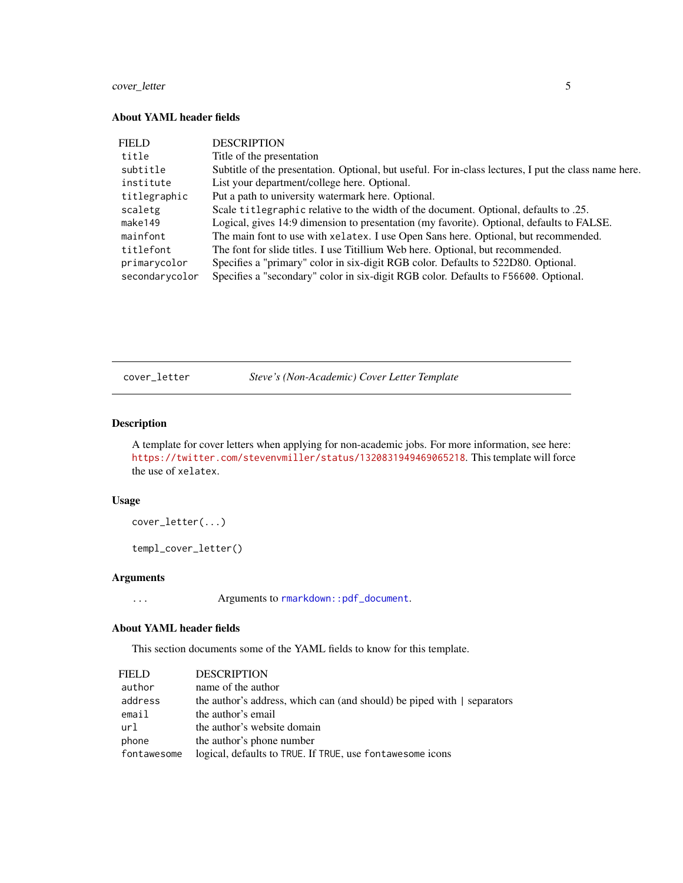# <span id="page-4-0"></span>cover\_letter 5

# About YAML header fields

| FIELD          | <b>DESCRIPTION</b>                                                                                    |
|----------------|-------------------------------------------------------------------------------------------------------|
| title          | Title of the presentation                                                                             |
| subtitle       | Subtitle of the presentation. Optional, but useful. For in-class lectures, I put the class name here. |
| institute      | List your department/college here. Optional.                                                          |
| titlegraphic   | Put a path to university watermark here. Optional.                                                    |
| scaletg        | Scale titlegraphic relative to the width of the document. Optional, defaults to .25.                  |
| make149        | Logical, gives 14:9 dimension to presentation (my favorite). Optional, defaults to FALSE.             |
| mainfont       | The main font to use with xelatex. I use Open Sans here. Optional, but recommended.                   |
| titlefont      | The font for slide titles. I use Titillium Web here. Optional, but recommended.                       |
| primarycolor   | Specifies a "primary" color in six-digit RGB color. Defaults to 522D80. Optional.                     |
| secondarycolor | Specifies a "secondary" color in six-digit RGB color. Defaults to F56600. Optional.                   |

cover\_letter *Steve's (Non-Academic) Cover Letter Template*

# Description

A template for cover letters when applying for non-academic jobs. For more information, see here: <https://twitter.com/stevenvmiller/status/1320831949469065218>. This template will force the use of xelatex.

### Usage

cover\_letter(...)

templ\_cover\_letter()

# Arguments

... Arguments to [rmarkdown::pdf\\_document](#page-0-0).

#### About YAML header fields

This section documents some of the YAML fields to know for this template.

| FIELD       | <b>DESCRIPTION</b>                                                      |
|-------------|-------------------------------------------------------------------------|
| author      | name of the author                                                      |
| address     | the author's address, which can (and should) be piped with   separators |
| email       | the author's email                                                      |
| url         | the author's website domain                                             |
| phone       | the author's phone number                                               |
| fontawesome | logical, defaults to TRUE. If TRUE, use fontawesome icons               |
|             |                                                                         |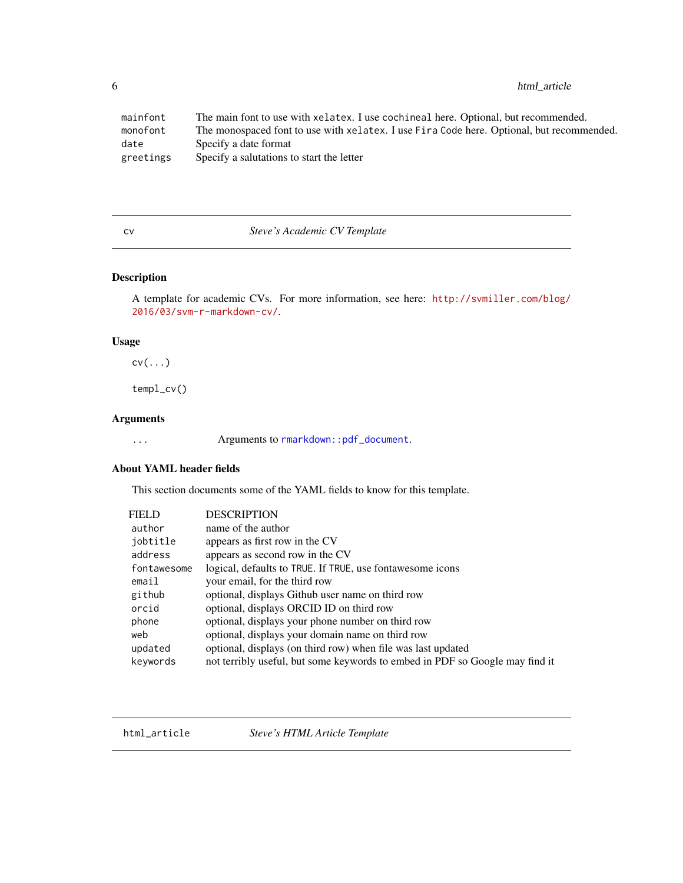<span id="page-5-0"></span>6 html\_article

| mainfont  | The main font to use with xelatex. I use cochineal here. Optional, but recommended.       |
|-----------|-------------------------------------------------------------------------------------------|
| monofont  | The monospaced font to use with xelatex. I use Fira Code here. Optional, but recommended. |
| date      | Specify a date format                                                                     |
| greetings | Specify a salutations to start the letter                                                 |

#### cv *Steve's Academic CV Template*

# Description

A template for academic CVs. For more information, see here: [http://svmiller.com/blog/](http://svmiller.com/blog/2016/03/svm-r-markdown-cv/) [2016/03/svm-r-markdown-cv/](http://svmiller.com/blog/2016/03/svm-r-markdown-cv/).

# Usage

cv(...)

templ\_cv()

# Arguments

... Arguments to [rmarkdown::pdf\\_document](#page-0-0).

# About YAML header fields

This section documents some of the YAML fields to know for this template.

| <b>FIELD</b> | <b>DESCRIPTION</b>                                                           |
|--------------|------------------------------------------------------------------------------|
| author       | name of the author                                                           |
| jobtitle     | appears as first row in the CV                                               |
| address      | appears as second row in the CV                                              |
| fontawesome  | logical, defaults to TRUE. If TRUE, use fontawesome icons                    |
| email        | your email, for the third row                                                |
| github       | optional, displays Github user name on third row                             |
| orcid        | optional, displays ORCID ID on third row                                     |
| phone        | optional, displays your phone number on third row                            |
| web          | optional, displays your domain name on third row                             |
| updated      | optional, displays (on third row) when file was last updated                 |
| keywords     | not terribly useful, but some keywords to embed in PDF so Google may find it |

html\_article *Steve's HTML Article Template*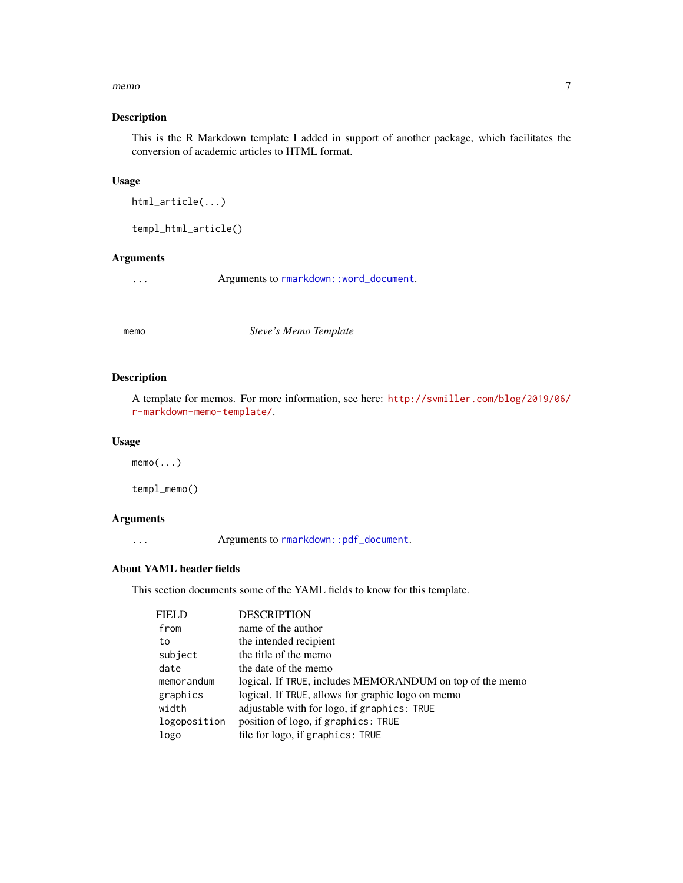#### <span id="page-6-0"></span>memo antico a contra de la contra de la contra de la contra de la contra de la contra de la contra de la contra de la contra de la contra de la contra de la contra de la contra de la contra de la contra de la contra de la

# Description

This is the R Markdown template I added in support of another package, which facilitates the conversion of academic articles to HTML format.

# Usage

```
html_article(...)
```
templ\_html\_article()

# Arguments

... Arguments to [rmarkdown::word\\_document](#page-0-0).

memo *Steve's Memo Template*

# Description

A template for memos. For more information, see here: [http://svmiller.com/blog/2019/06/](http://svmiller.com/blog/2019/06/r-markdown-memo-template/) [r-markdown-memo-template/](http://svmiller.com/blog/2019/06/r-markdown-memo-template/).

#### Usage

 $memo($ ... $)$ 

templ\_memo()

# Arguments

... Arguments to [rmarkdown::pdf\\_document](#page-0-0).

### About YAML header fields

This section documents some of the YAML fields to know for this template.

| <b>DESCRIPTION</b>                                       |
|----------------------------------------------------------|
| name of the author                                       |
| the intended recipient                                   |
| the title of the memo                                    |
| the date of the memo                                     |
| logical. If TRUE, includes MEMORANDUM on top of the memo |
| logical. If TRUE, allows for graphic logo on memo        |
| adjustable with for logo, if graphics: TRUE              |
| position of logo, if graphics: TRUE                      |
| file for logo, if graphics: TRUE                         |
|                                                          |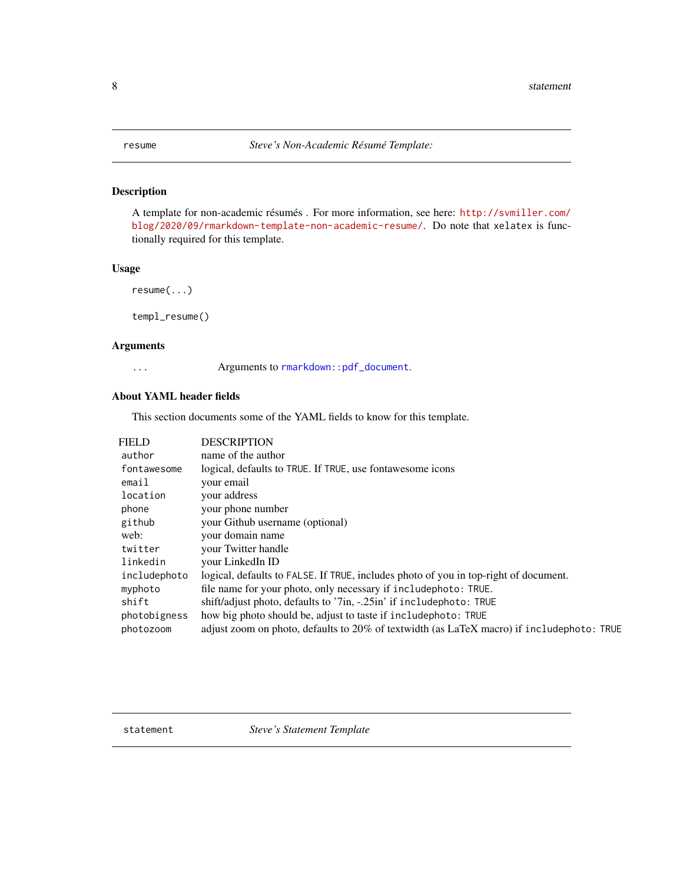<span id="page-7-0"></span>

# Description

A template for non-academic résumés . For more information, see here: [http://svmiller.com/](http://svmiller.com/blog/2020/09/rmarkdown-template-non-academic-resume/) [blog/2020/09/rmarkdown-template-non-academic-resume/](http://svmiller.com/blog/2020/09/rmarkdown-template-non-academic-resume/). Do note that xelatex is functionally required for this template.

# Usage

```
resume(...)
```
templ\_resume()

#### Arguments

... Arguments to [rmarkdown::pdf\\_document](#page-0-0).

# About YAML header fields

This section documents some of the YAML fields to know for this template.

| FIELD        | <b>DESCRIPTION</b>                                                                        |
|--------------|-------------------------------------------------------------------------------------------|
| author       | name of the author                                                                        |
| fontawesome  | logical, defaults to TRUE. If TRUE, use fontawesome icons                                 |
| email        | your email                                                                                |
| location     | your address                                                                              |
| phone        | your phone number                                                                         |
| github       | your Github username (optional)                                                           |
| web:         | your domain name                                                                          |
| twitter      | your Twitter handle                                                                       |
| linkedin     | vour LinkedIn ID                                                                          |
| includephoto | logical, defaults to FALSE. If TRUE, includes photo of you in top-right of document.      |
| myphoto      | file name for your photo, only necessary if include photo: TRUE.                          |
| shift        | shift/adjust photo, defaults to '7in, -.25in' if includephoto: TRUE                       |
| photobigness | how big photo should be, adjust to taste if include photo: TRUE                           |
| photozoom    | adjust zoom on photo, defaults to 20% of textwidth (as LaTeX macro) if includephoto: TRUE |

statement *Steve's Statement Template*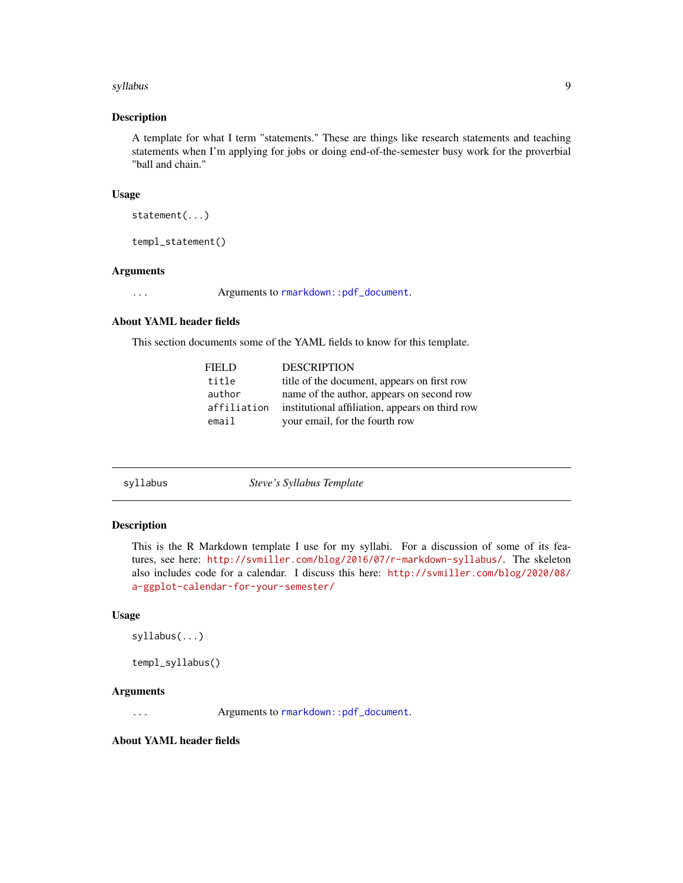#### <span id="page-8-0"></span>syllabus 9

#### Description

A template for what I term "statements." These are things like research statements and teaching statements when I'm applying for jobs or doing end-of-the-semester busy work for the proverbial "ball and chain."

#### Usage

```
statement(...)
```
templ\_statement()

# Arguments

... Arguments to [rmarkdown::pdf\\_document](#page-0-0).

# About YAML header fields

This section documents some of the YAML fields to know for this template.

| FIEL D      | <b>DESCRIPTION</b>                              |
|-------------|-------------------------------------------------|
| title       | title of the document, appears on first row     |
| author      | name of the author, appears on second row       |
| affiliation | institutional affiliation, appears on third row |
| email       | your email, for the fourth row                  |

| svllabus |  |  |  |
|----------|--|--|--|
|          |  |  |  |

syllabus *Steve's Syllabus Template*

#### Description

This is the R Markdown template I use for my syllabi. For a discussion of some of its features, see here: <http://svmiller.com/blog/2016/07/r-markdown-syllabus/>. The skeleton also includes code for a calendar. I discuss this here: [http://svmiller.com/blog/2020/08/](http://svmiller.com/blog/2020/08/a-ggplot-calendar-for-your-semester/) [a-ggplot-calendar-for-your-semester/](http://svmiller.com/blog/2020/08/a-ggplot-calendar-for-your-semester/)

#### Usage

```
syllabus(...)
```

```
templ_syllabus()
```
#### Arguments

... Arguments to [rmarkdown::pdf\\_document](#page-0-0).

About YAML header fields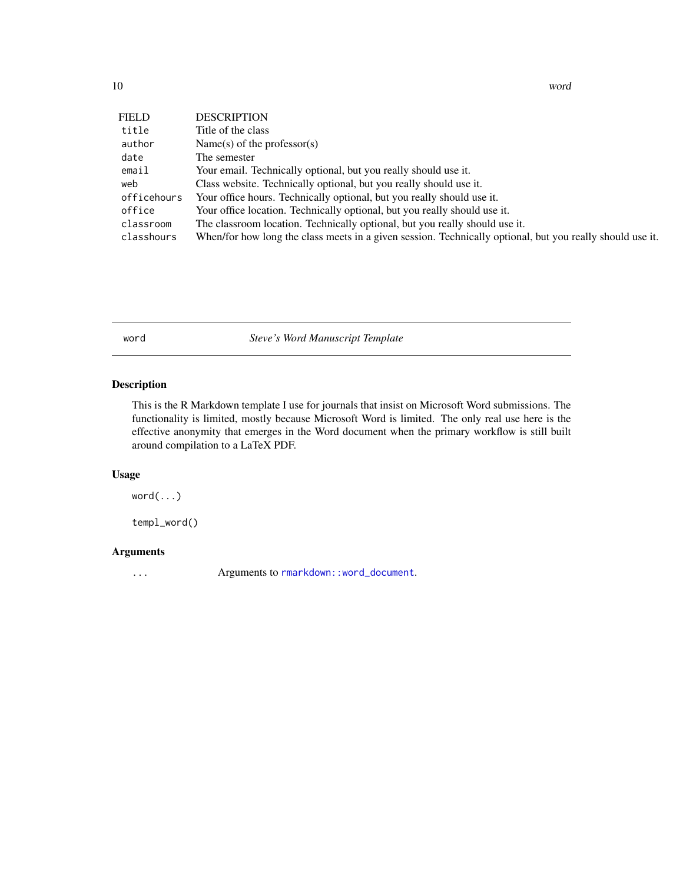| FIELD       | <b>DESCRIPTION</b>                                                                                        |
|-------------|-----------------------------------------------------------------------------------------------------------|
| title       | Title of the class                                                                                        |
| author      | Name(s) of the professor(s)                                                                               |
| date        | The semester                                                                                              |
| email       | Your email. Technically optional, but you really should use it.                                           |
| web         | Class website. Technically optional, but you really should use it.                                        |
| officehours | Your office hours. Technically optional, but you really should use it.                                    |
| office      | Your office location. Technically optional, but you really should use it.                                 |
| classroom   | The classroom location. Technically optional, but you really should use it.                               |
| classhours  | When/for how long the class meets in a given session. Technically optional, but you really should use it. |

word *Steve's Word Manuscript Template*

# Description

This is the R Markdown template I use for journals that insist on Microsoft Word submissions. The functionality is limited, mostly because Microsoft Word is limited. The only real use here is the effective anonymity that emerges in the Word document when the primary workflow is still built around compilation to a LaTeX PDF.

# Usage

word(...)

templ\_word()

# Arguments

... Arguments to [rmarkdown::word\\_document](#page-0-0).

<span id="page-9-0"></span>10 word